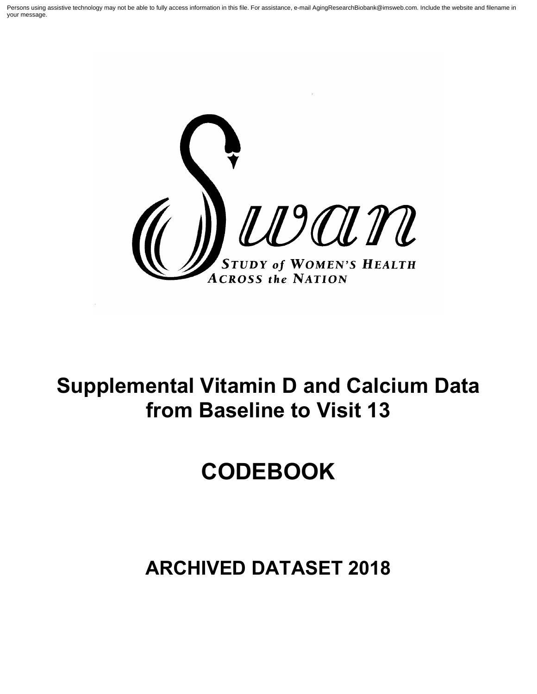assistive technology may not be able to fully access information in this file. For assistance, e-mail AgingResearchBiobank@imsweb.com. Include the website and filename in your message.



## **Supplemental Vitamin D and Calcium Data from Baseline to Visit 13**

# **CODEBOOK**

## **ARCHIVED DATASET 2018**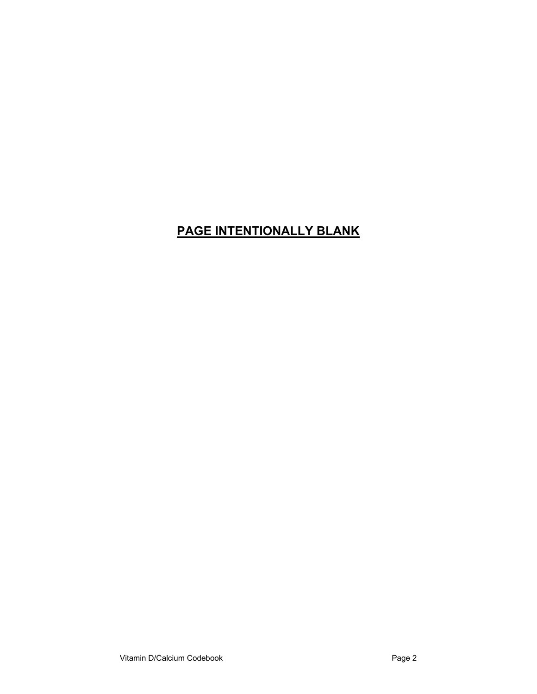### **PAGE INTENTIONALLY BLANK**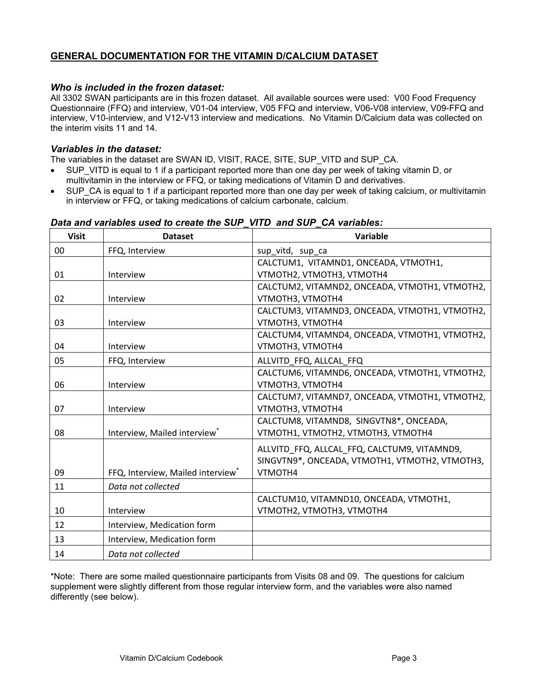#### **GENERAL DOCUMENTATION FOR THE VITAMIN D/CALCIUM DATASET**

#### *Who is included in the frozen dataset:*

All 3302 SWAN participants are in this frozen dataset. All available sources were used: V00 Food Frequency Questionnaire (FFQ) and interview, V01-04 interview, V05 FFQ and interview, V06-V08 interview, V09-FFQ and interview, V10-interview, and V12-V13 interview and medications. No Vitamin D/Calcium data was collected on the interim visits 11 and 14.

#### *Variables in the dataset:*

The variables in the dataset are SWAN ID, VISIT, RACE, SITE, SUP\_VITD and SUP\_CA.

- SUP VITD is equal to 1 if a participant reported more than one day per week of taking vitamin D, or multivitamin in the interview or FFQ, or taking medications of Vitamin D and derivatives.
- SUP CA is equal to 1 if a participant reported more than one day per week of taking calcium, or multivitamin in interview or FFQ, or taking medications of calcium carbonate, calcium.

| <b>Visit</b> | <b>Dataset</b>                    | Variable                                       |
|--------------|-----------------------------------|------------------------------------------------|
| 00           | FFQ, Interview                    | sup_vitd, sup_ca                               |
|              |                                   | CALCTUM1, VITAMND1, ONCEADA, VTMOTH1,          |
| 01           | Interview                         | VTMOTH2, VTMOTH3, VTMOTH4                      |
|              |                                   | CALCTUM2, VITAMND2, ONCEADA, VTMOTH1, VTMOTH2, |
| 02           | Interview                         | VTMOTH3, VTMOTH4                               |
|              |                                   | CALCTUM3, VITAMND3, ONCEADA, VTMOTH1, VTMOTH2, |
| 03           | Interview                         | VTMOTH3, VTMOTH4                               |
|              |                                   | CALCTUM4, VITAMND4, ONCEADA, VTMOTH1, VTMOTH2, |
| 04           | Interview                         | VTMOTH3, VTMOTH4                               |
| 05           | FFQ, Interview                    | ALLVITD FFQ, ALLCAL FFQ                        |
|              |                                   | CALCTUM6, VITAMND6, ONCEADA, VTMOTH1, VTMOTH2, |
| 06           | Interview                         | VTMOTH3, VTMOTH4                               |
|              |                                   | CALCTUM7, VITAMND7, ONCEADA, VTMOTH1, VTMOTH2, |
| 07           | Interview                         | VTMOTH3, VTMOTH4                               |
|              |                                   | CALCTUM8, VITAMND8, SINGVTN8*, ONCEADA,        |
| 08           | Interview, Mailed interview*      | VTMOTH1, VTMOTH2, VTMOTH3, VTMOTH4             |
|              |                                   | ALLVITD FFQ, ALLCAL FFQ, CALCTUM9, VITAMND9,   |
|              |                                   | SINGVTN9*, ONCEADA, VTMOTH1, VTMOTH2, VTMOTH3, |
| 09           | FFQ, Interview, Mailed interview* | VTMOTH4                                        |
| 11           | Data not collected                |                                                |
|              |                                   | CALCTUM10, VITAMND10, ONCEADA, VTMOTH1,        |
| 10           | Interview                         | VTMOTH2, VTMOTH3, VTMOTH4                      |
| 12           | Interview, Medication form        |                                                |
| 13           | Interview, Medication form        |                                                |
| 14           | Data not collected                |                                                |

#### *Data and variables used to create the SUP\_VITD and SUP\_CA variables:*

\*Note: There are some mailed questionnaire participants from Visits 08 and 09. The questions for calcium supplement were slightly different from those regular interview form, and the variables were also named differently (see below).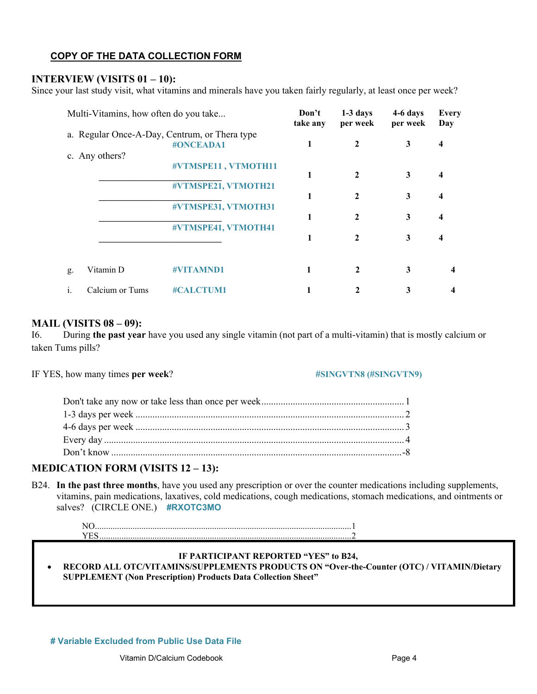#### **COPY OF THE DATA COLLECTION FORM**

#### **INTERVIEW (VISITS 01 – 10):**

Since your last study visit, what vitamins and minerals have you taken fairly regularly, at least once per week?

| Multi-Vitamins, how often do you take<br>a. Regular Once-A-Day, Centrum, or Thera type<br><b>#ONCEADA1</b><br>c. Any others? |                 |                                            | Don't<br>take any | $1-3$ days<br>per week | 4-6 days<br>per week | Every<br>Day            |
|------------------------------------------------------------------------------------------------------------------------------|-----------------|--------------------------------------------|-------------------|------------------------|----------------------|-------------------------|
|                                                                                                                              |                 |                                            |                   | $\mathbf{2}$           | 3                    | $\overline{\mathbf{4}}$ |
|                                                                                                                              |                 | #VTMSPE11, VTMOTH11                        | 1                 | $\mathbf{2}$           | 3                    | $\boldsymbol{4}$        |
|                                                                                                                              |                 | #VTMSPE21, VTMOTH21<br>#VTMSPE31, VTMOTH31 |                   | $\mathbf{2}$           | 3                    | $\overline{\mathbf{4}}$ |
|                                                                                                                              |                 | #VTMSPE41, VTMOTH41                        |                   | $\mathbf{2}$           | 3                    | $\overline{\mathbf{4}}$ |
|                                                                                                                              |                 |                                            |                   | $\mathbf{2}$           | 3                    | $\boldsymbol{4}$        |
| g.                                                                                                                           | Vitamin D       | <b>#VITAMND1</b>                           | 1                 | $\mathbf{2}$           | 3                    | 4                       |
| i.                                                                                                                           | Calcium or Tums | #CALCTUM1                                  |                   |                        | 3                    | 4                       |

#### **MAIL (VISITS 08 – 09):**

I6. During **the past year** have you used any single vitamin (not part of a multi-vitamin) that is mostly calcium or taken Tums pills?

IF YES, how many times **per week**? **#SINGVTN8 (#SINGVTN9)**

#### **MEDICATION FORM (VISITS 12 – 13):**

B24. **In the past three months**, have you used any prescription or over the counter medications including supplements, vitamins, pain medications, laxatives, cold medications, cough medications, stomach medications, and ointments or salves? (CIRCLE ONE.) **#RXOTC3MO**

#### **IF PARTICIPANT REPORTED "YES" to B24,**

• **RECORD ALL OTC/VITAMINS/SUPPLEMENTS PRODUCTS ON "Over-the-Counter (OTC) / VITAMIN/Dietary SUPPLEMENT (Non Prescription) Products Data Collection Sheet"**